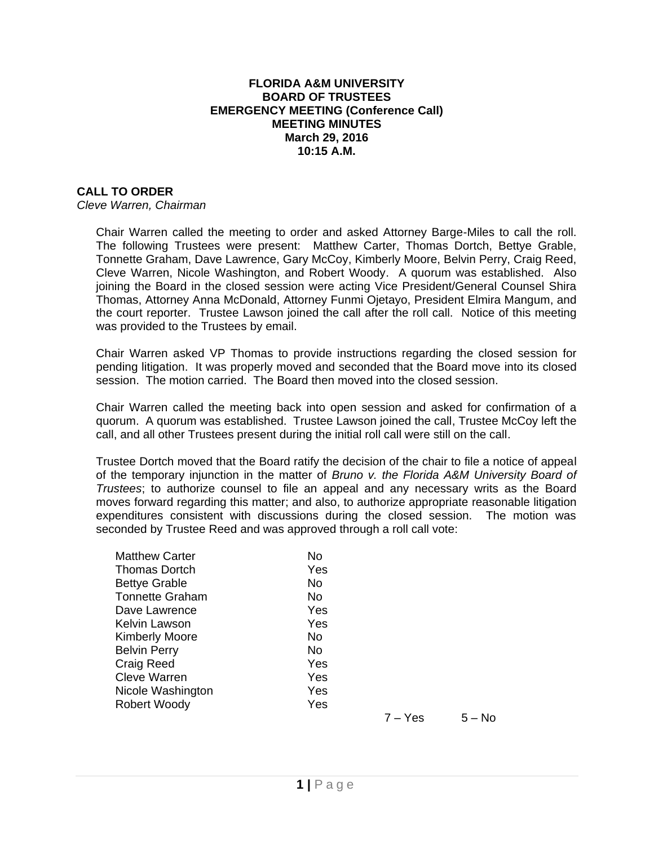## **FLORIDA A&M UNIVERSITY BOARD OF TRUSTEES EMERGENCY MEETING (Conference Call) MEETING MINUTES March 29, 2016 10:15 A.M.**

## **CALL TO ORDER**

*Cleve Warren, Chairman*

Chair Warren called the meeting to order and asked Attorney Barge-Miles to call the roll. The following Trustees were present: Matthew Carter, Thomas Dortch, Bettye Grable, Tonnette Graham, Dave Lawrence, Gary McCoy, Kimberly Moore, Belvin Perry, Craig Reed, Cleve Warren, Nicole Washington, and Robert Woody. A quorum was established. Also joining the Board in the closed session were acting Vice President/General Counsel Shira Thomas, Attorney Anna McDonald, Attorney Funmi Ojetayo, President Elmira Mangum, and the court reporter. Trustee Lawson joined the call after the roll call. Notice of this meeting was provided to the Trustees by email.

Chair Warren asked VP Thomas to provide instructions regarding the closed session for pending litigation. It was properly moved and seconded that the Board move into its closed session. The motion carried. The Board then moved into the closed session.

Chair Warren called the meeting back into open session and asked for confirmation of a quorum. A quorum was established. Trustee Lawson joined the call, Trustee McCoy left the call, and all other Trustees present during the initial roll call were still on the call.

Trustee Dortch moved that the Board ratify the decision of the chair to file a notice of appeal of the temporary injunction in the matter of *Bruno v. the Florida A&M University Board of Trustees*; to authorize counsel to file an appeal and any necessary writs as the Board moves forward regarding this matter; and also, to authorize appropriate reasonable litigation expenditures consistent with discussions during the closed session. The motion was seconded by Trustee Reed and was approved through a roll call vote:

| <b>Matthew Carter</b>  | No  |           |          |
|------------------------|-----|-----------|----------|
| <b>Thomas Dortch</b>   | Yes |           |          |
| <b>Bettye Grable</b>   | No  |           |          |
| <b>Tonnette Graham</b> | No. |           |          |
| Dave Lawrence          | Yes |           |          |
| Kelvin Lawson          | Yes |           |          |
| <b>Kimberly Moore</b>  | No. |           |          |
| <b>Belvin Perry</b>    | No  |           |          |
| <b>Craig Reed</b>      | Yes |           |          |
| <b>Cleve Warren</b>    | Yes |           |          |
| Nicole Washington      | Yes |           |          |
| Robert Woody           | Yes |           |          |
|                        |     | $7 - Yes$ | $5 - No$ |